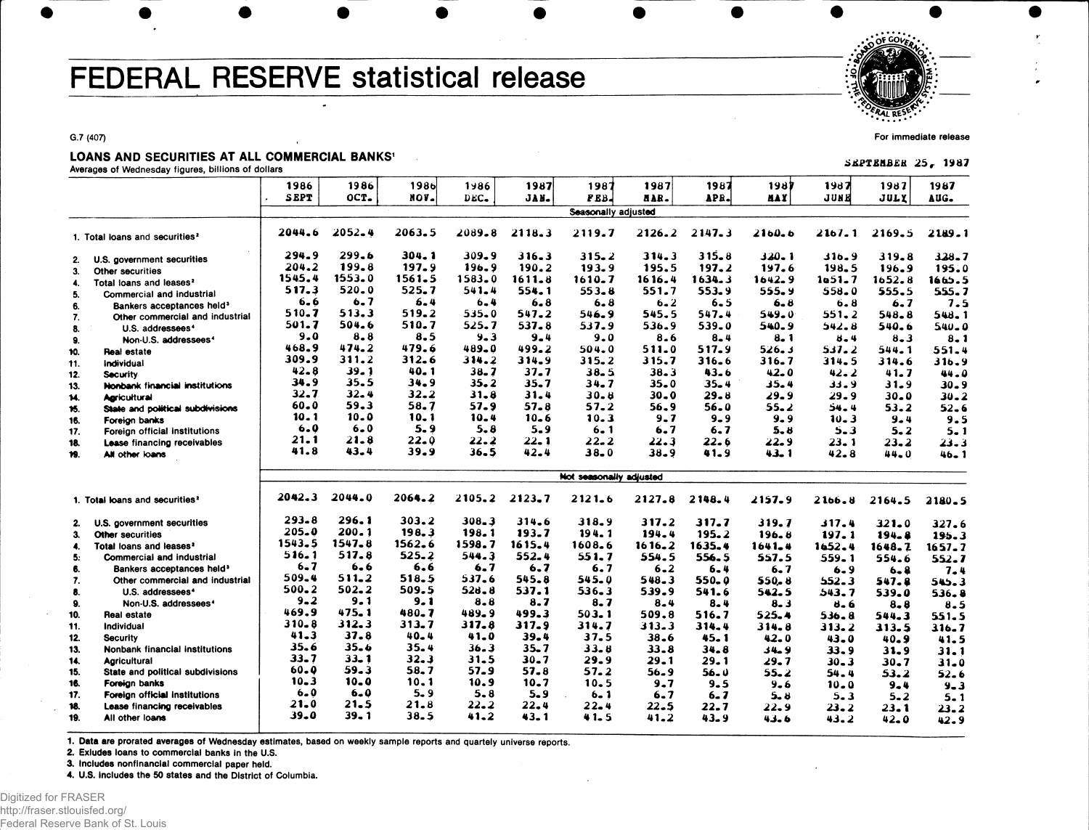# FEDERAL RESERVE statistical release

". FRAL RESE

**For immediate release**

**SEPTEMBER 25, 1987** 

#### **G.7 (407)**

#### LOANS AND SECURITIES AT ALL COMMERCIAL BANKS'

**Averages of Wednesday figures, billions of dollars**

|     |                                            | 1986        | 1986       | 1986      | 1986       | 1987       | 1987                           | 1987      | 1987      | 1987       | 1987       | 1987      | 1987      |
|-----|--------------------------------------------|-------------|------------|-----------|------------|------------|--------------------------------|-----------|-----------|------------|------------|-----------|-----------|
|     |                                            | <b>SEPT</b> | OCT.       | NOV.      | DEC.       | JAN.       | FEB.                           | HAR.      | APR.      | <b>MAY</b> | JUNE       | JULY      | AUG.      |
|     |                                            |             |            |           |            |            | Seasonally adjusted            |           |           |            |            |           |           |
|     | 1. Total loans and securities <sup>2</sup> | 2044.6      | $2052 - 4$ | 2063.5    | 2089.8     | 2118.3     | 2119.7                         | 2126.2    | 2147.3    | $2160 - 6$ | 2167.1     | 2169.5    | 2189.1    |
| 2.  | U.S. government securities                 | 294.9       | 299.6      | 304.1     | 309.9      | 316.3      | $315 - 2$                      | 314.3     | 315.8     | 320.1      | 9 ـ 16 ك   | 319.8     | 328.7     |
| 3.  | Other securities                           | 204.2       | 199.8      | 197.9     | $196 - 9$  | 190.2      | 193.9                          | 195.5     | 197.2     | 197.6      | 198.5      | 196.9     | 195.0     |
| 4.  | Total loans and leases <sup>2</sup>        | 1545.4      | 1553.0     | 1561.5    | $1583 - 0$ | 1611.8     | 1610.7                         | 1616.4    | 1634.3    | $1642 - 9$ | 1051.7     | 1652.8    | 1665.5    |
| 5.  | Commercial and industrial                  | 517.3       | 520.0      | 525.7     | 541.4      | 554.1      | $553 - 8$                      | 551.7     | 553.9     | 555.9      | 558.0      | 555.5     | 555.7     |
| 6.  | Bankers acceptances held <sup>3</sup>      | 6.6         | 6.7        | $6 - 4$   | $6 - 4$    | 6.8        | 6.8                            | $6 - 2$   | 6.5       | $6 - 8$    | 6.8        | 6.7       | 7.5       |
| 7.  | Other commercial and industrial            | 510.7       | 513.3      | 519.2     | 535.0      | 547.2      | 546.9                          | 545.5     | 547.4     | 549.0      | 551.2      | $548 - 8$ | 548.1     |
| 8.  | U.S. addressees <sup>4</sup>               | 501.7       | 504.6      | 510.7     | 525.7      | 537.8      | 537.9                          | 536.9     | 539.0     | 540.9      | 542.8      | 540.6     | $540 - 0$ |
| 9.  | Non-U.S. addressees <sup>4</sup>           | 9.0         | 8.8        | 8.5       | $9 - 3$    | 9.4        | 9.0                            | 8.6       | $8 - 4$   | $8 - 1$    | $8 - 4$    | $8 - 3$   | $8 - 1$   |
| 10. | Real estate                                | 468.9       | 474.2      | 479.6     | 489.0      | 499.2      | 504.0                          | 511.0     | 517.9     | 526. s     | 537.2      | 544.1     | 551.4     |
| 11. | Individual                                 | 309.9       | 311.2      | 312.6     | 314.2      | 314.9      | $315 - 2$                      | 315.7     | 316.6     | 316.7      | 314.5      | 314.6     | 316.9     |
| 12. | <b>Security</b>                            | $42 - 8$    | 39.1       | 40.1      | $38 - 7$   | 37.7       | $38 - 5$                       | 38.3      | 43.6      | $42 - 0$   | $42 - 2$   | 41.7      | 44.0      |
| 13. | Nonbank financial institutions             | 34.9        | 35.5       | 34.9      | 35.2       | $35 - 7$   | $34 - 7$                       | $35 - 0$  | 35.4      | $35 - 4$   | 33.9       | 31.9      | $30 - 9$  |
| 14. | <b>Aaricultural</b>                        | $32 - 7$    | 32.4       | 32.2      | 31.8       | 31.4       | $30 - 8$                       | $30 - 0$  | $29 - 8$  | 29.9       | 29.9       | $30 - 0$  | $30 - 2$  |
| 15. | State and political subdivisions           | $60 - 0$    | 59.3       | 58.7      | 57.9       | 57.8       | 57.2                           | 56.9      | 56.0      | $55 - 2$   | 54.4       | $53 - 2$  | $52 - 6$  |
| 16. | Foreign banks                              | 10.1        | 10.0       | 10.1      | 10.4       | $10 - 6$   | 10.3                           | $9 - 7$   | $9 - 9$   | $9 - 9$    | $10 - 3$   | $9 - 4$   | 9.5       |
| 17. | Foreign official institutions              | 6.0         | $6 - 0$    | 5.9       | $5 - 8$    | $5 - 9$    | $6 - 1$                        | 6.7       | 6.7       | 5.8        | $5 - 3$    | $5 - 2$   | $5 - 1$   |
| 18. | <b>Lease financing receivables</b>         | 21.1        | 21.8       | 22.0      | 22.2       | 22. 1      | $22 - 2$                       | 22.3      | $22 - 6$  | 22.9       | $23 - 1$   | $23 - 2$  | 23.3      |
| 19. | All other loans                            | 41.8        | 43.4       | 39.9      | $36 - 5$   | $42 - 4$   | $38 - 0$                       | 38.9      | 41.9      | 43.1       | $42 - 8$   | $44 - 0$  | $46 - 1$  |
|     |                                            |             |            |           |            |            | <b>Not seasonally adjusted</b> |           |           |            |            |           |           |
|     | 1. Total loans and securities <sup>2</sup> | 2042.3      | 2044.0     | 2064.2    | 2105.2     | $2123 - 7$ | $2121 - 6$                     | 2127.8    | 2148.4    | 2157.9     | $2166 - 8$ | 2164.5    | 2180.5    |
| 2.  | U.S. government securities                 | $293 - 8$   | 296.1      | 303.2     | 308.3      | 314.6      | 318.9                          | 317.2     | 317.7     | 319.7      | 317.4      | $321 - 0$ | 327.6     |
| 3.  | Other securities                           | 205.0       | 200.1      | 198.3     | 198.1      | 193.7      | 194.1                          | 194.4     | $195 - 2$ | 196.8      | 197.1      | 194.8     | 195.3     |
| 4.  | Total loans and leases <sup>2</sup>        | 1543.5      | $1547 - 8$ | 1562.6    | 1598.7     | 1615.4     | 1608.6                         | 1616.2    | 1635.4    | $1641 - 4$ | 1652.4     | 1648.2    | 1657.7    |
| 5.  | <b>Commercial and industrial</b>           | 516.1       | 517.8      | $525 - 2$ | 544.3      | 552.4      | 551.7                          | 554.5     | 556.5     | 557.5      | 559.1      | 554.6     | 552.7     |
| 6.  | Bankers acceptances held <sup>3</sup>      | 6.7         | $6 - 6$    | 6.6       | 6.7        | 6.7        | 6.7                            | $6 - 2$   | 6.4       | 6.7        | 6.9        | $6 - 8$   | $7 - 4$   |
| 7.  | Other commercial and industrial            | 509.4       | 511.2      | 518.5     | 537.6      | 545.8      | 545.0                          | $548 - 3$ | $550 - 0$ | 550. 8     | $552 - 3$  | 547.8     | 545.3     |
| 8.  | U.S. addressees <sup>4</sup>               | 500.2       | 502.2      | 509.5     | 528.8      | 537.1      | 536.3                          | 539.9     | 541.6     | 542.5      | 543.7      | 539.0     | 536.8     |
| 9.  | Non-U.S. addressees <sup>4</sup>           | $9 - 2$     | 9.1        | $9 - 1$   | $8 - 8$    | 8.7        | 8.7                            | $8 - 4$   | $8 - 4$   | 8.3        | 8.6        | $8 - 8$   | $8 - 5$   |
| 10. | Real estate                                | 469.9       | 475.1      | 480.7     | 489.9      | 499.3      | 503.1                          | 509.8     | 516.7     | 525.4      | 536.8      | 544.3     | 551.5     |
| 11. | Individual                                 | $310 - 8$   | 312.3      | 313.7     | 317.8      | 317.9      | 314.7                          | 313.3     | 314.4     | 314.8      | 313.2      | 313.5     | 316.7     |
| 12. | <b>Security</b>                            | $41 - 3$    | 37.8       | $40 - 4$  | 41.0       | 39.4       | 37.5                           | 38.6      | 45.1      | $42 - 0$   | $43 - 0$   | $40 - 9$  | 41.5      |
| 13. | Nonbank financial institutions             | 35.6        | 35.6       | 35.4      | 36.3       | $35 - 7$   | 33.8                           | 33.8      | 34.8      | 34.9       | 33.9       | 31.9      | 31.1      |
| 14. | <b>Agricultural</b>                        | $33 - 7$    | 33. 1      | $32 - 3$  | 31.5       | 30.7       | 29.9                           | 29.1      | 29.1      | 29. 7      | $30 - 3$   | $30 - 7$  | $31 - 0$  |
| 15. | State and political subdivisions           | $60 - Q$    | 59.3       | 58.7      | 57.9       | 57.8       | 57.2                           | 56.9      | 56. v     | 55.2       | 54.4       | 53.2      | $52 - 6$  |
| 16. | Foreign banks                              | 10.3        | 10.0       | $10-1$    | 10.9       | $10 - 7$   | 10.5                           | 9.7       | $9 - 5$   | $9 - 6$    | $10 - 0$   | 9.4       | $9 - 3$   |
| 17. | Foreign official institutions              | $6 - 0$     | $6 - 0$    | 5.9       | $5 - 8$    | $5 - 9$    | $6 - 1$                        | 6.7       | $6 - 7$   | $5 - 8$    | $5 - 3$    | $5 - 2$   | $5 - 1$   |
| 18. | Lease financing receivables                | 21.0        | 21.5       | $21 - 8$  | $22 - 2$   | 22.4       | 22.4                           | $22 - 5$  | 22.7      | 22.9       | 23.2       | 23.1      | $23 - 2$  |
| 19. | All other loans                            | $39 - 0$    | $39 - 1$   | 38.5      | 41.2       | 43.1       | 41.5                           | 41.2      | $43 - 9$  | $43 - 6$   | 43.2       | $42 - 0$  | 42.9      |
|     |                                            |             |            |           |            |            |                                |           |           |            |            |           |           |

1. Data are prorated averages of Wednesday estimates, based on weekly sample reports and quartely universe reports.

**2. Exludes loans to commercial banks In the U.S.**

**3. Includes nonfinanclal commercial paper held.**

**4. U.S. Includes the 50 states and the District of Columbia.**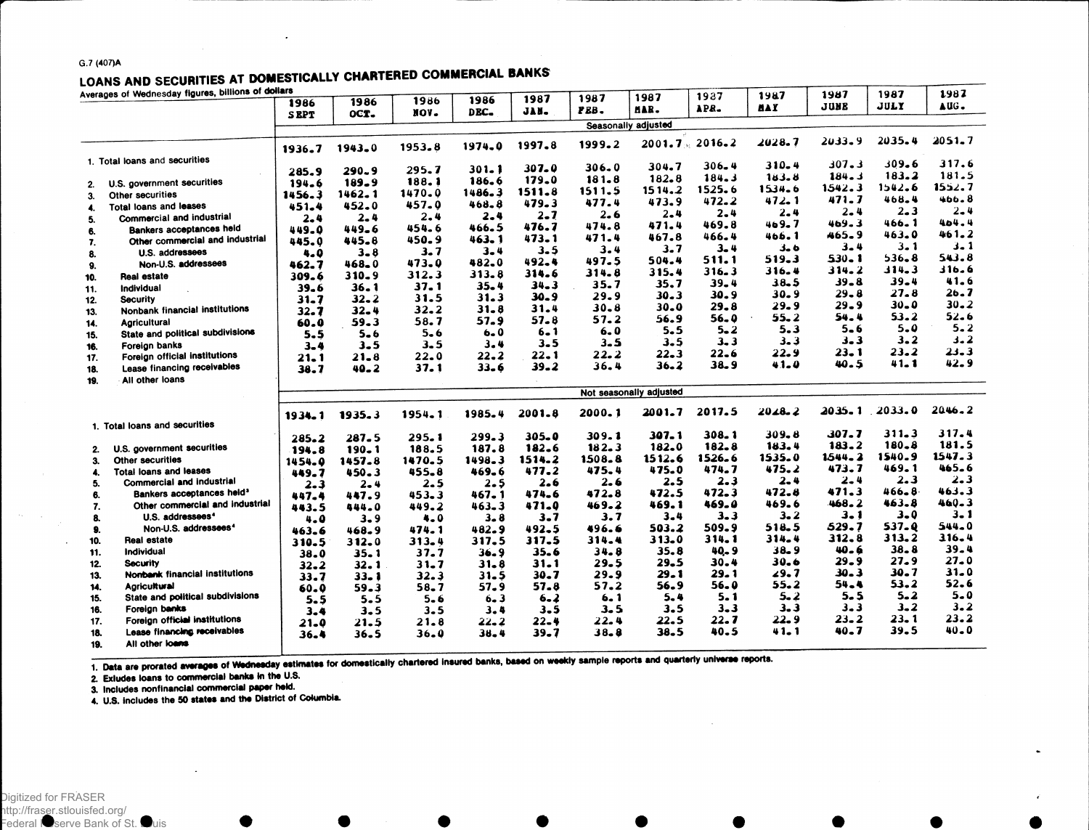#### **G.7 (407)A**

### LOANS AND SECURITIES AT DOMESTICALLY CHARTERED COMMERCIAL BANKS

|     | Averages of Wednesday figures, billions of dollars |             |            | 1986     | 1986      | 1987     | 1987      | 1987                    | 1987              | 1987       | 1987      | 1987      | 1987       |
|-----|----------------------------------------------------|-------------|------------|----------|-----------|----------|-----------|-------------------------|-------------------|------------|-----------|-----------|------------|
|     |                                                    | 1986        | 1986       | NOV.     | DEC-      | JAN.     | PEB.      | MAR.                    | APR.              | <b>BAY</b> | JUNE      | JULY      | AUG.       |
|     |                                                    | <b>SEPT</b> | OCT.       |          |           |          |           | Seasonally adjusted     |                   |            |           |           |            |
|     |                                                    |             |            | 1953.8   | 1974.0    | 1997.8   | 1999.2    |                         | $2001.7 - 2016.2$ | 2028.7     | 2033.9    | 2035.4    | $2051 - 7$ |
|     |                                                    | 1936.7      | $1943 - 0$ |          |           |          |           |                         |                   |            |           |           |            |
|     | 1. Total loans and securities                      |             | 290.9      | 295.7    | $301 - 1$ | 307.0    | $306 - 0$ | 304.7                   | $306 - 4$         | 310.4      | 307.3     | 309.6     | 317.6      |
|     |                                                    | 285.9       | $189 - 9$  | 188.1    | 186.6     | 179.0    | 181.8     | 182.8                   | 184.3             | 183.8      | 184.3     | 183.2     | 181.5      |
| 2.  | U.S. government securities                         | 194.6       | 1462.1     | 1470.0   | 1486.3    | 1511.8   | 1511.5    | 1514.2                  | 1525.6            | 1534.6     | 1542.3    | 1542.6    | 1552.7     |
| 3.  | Other securities                                   | 1456.3      | 452.0      | 457.0    | 468.8     | 479.3    | 477.4     | 473.9                   | 472.2             | 472.1      | 471.7     | 468.4     | 466.8      |
| 4.  | Total loans and leases                             | 451.4       |            | 2.4      | $2 - 4$   | $2 - 7$  | 2.6       | $2 - 4$                 | $2 - 4$           | $2 - 4$    | $2 - 4$   | $2 - 3$   | 2.4        |
| 5.  | Commercial and industrial                          | 2.4         | $2 - 4$    |          | 466.5     | 476.7    | 474.8     | 471.4                   | 469.8             | 469.7      | 469.3     | 466.1     | 404.4      |
| 6.  | <b>Bankers acceptances held</b>                    | 449.0       | 449.6      | 454.6    | 463.1     | 473.1    | 471.4     | 467.8                   | 466.4             | 466.1      | 465.9     | 463.0     | 461.2      |
| 7.  | Other commercial and industrial                    | 445.0       | 445.8      | 450.9    | $3 - 4$   | 3.5      | 3.4       | 3.7                     | 3. 4              | 3.6        | $3 - 4$   | $3 - 1$   | $3 - 1$    |
| 8.  | U.S. addressees                                    | 4.0         | $3 - 8$    | 3. 7     |           | 492.4    | 497.5     | 504.4                   | 511.1             | 519.3      | $530 - 1$ | $536 - 8$ | 543.8      |
| 9.  | Non-U.S. addressees                                | 462.7       | 468_0      | 473.0    | 482.0     | 314.6    | 314.8     | 315.4                   | 316.3             | 316.4      | 314.2     | 314.3     | 316.6      |
| 10. | Real estate                                        | 309.6       | 310.9      | 312.3    | 313.8     |          | 35.7      | 35.7                    | $39 - 4$          | 38.5       | $39 - 8$  | $39 - 4$  | 41.6       |
| 11. | Individual                                         | $39 - 6$    | $36 - 1$   | 37.1     | 35.4      | 34.3     | 29.9      | 30.3                    | 30.9              | 30.9       | 29.8      | 27.8      | 26.7       |
| 12. | <b>Security</b>                                    | $31 - 7$    | 32.2       | 31.5     | 31.3      | 30.9     |           | 30.0                    | 29.8              | $29 - 9$   | $29 - 9$  | 30.0      | 30.2       |
| 13. | Nonbank financial institutions                     | $32 - 7$    | $32 - 4$   | 32.2     | $31 - 8$  | 31.4     | $30 - 8$  | 56.9                    | 56.0              | 55.2       | 54.4      | 53.2      | $52 - 6$   |
| 14. | <b>Agricultural</b>                                | 60.0        | 59.3       | 58.7     | 57.9      | 57.8     | 57.2      |                         | $5 - 2$           | 5.3        | $5 - 6$   | 5.0       | $5 - 2$    |
| 15. | State and political subdivisions                   | 5.5         | $5 - 6$    | $5 - 6$  | $6 - 0$   | $6 - 1$  | 6.0       | 5.5                     | $3 - 3$           | $3 - 3$    | $3 - 3$   | $3 - 2$   | $3 - 2$    |
| 16. | Foreign banks                                      | 3.4         | 3.5        | 3.5      | 3.4       | 3.5      | $3 - 5$   | 3.5                     |                   |            | $23 - 1$  | $23 - 2$  | $23 - 3$   |
| 17. | Foreign official institutions                      | $21 - 1$    | 21.8       | 22.0     | $22 - 2$  | 22.1     | 22.2      | 22.3                    | 22.6              | 22.9       | 40.5      | $41 - 1$  | 42.9       |
| 18. | Lease financing receivables                        | 38.7        | $40 - 2$   | 37. 1    | 33.6      | $39 - 2$ | 36.4      | $36 - 2$                | 38.9              | 41.0       |           |           |            |
| 19. | All other loans                                    |             |            |          |           |          |           |                         |                   |            |           |           |            |
|     |                                                    |             |            |          |           |          |           | Not seasonally adjusted |                   |            |           |           |            |
|     |                                                    | 1934.1      | 1935.3     | 1954.1   | 1985.4    | 2001-8   | 2000.1    | 2001.7                  | 2017.5            | $2028 - 2$ | 2035.1    | 2033.0    | 2046.2     |
|     | 1. Total loans and securities                      |             |            |          |           |          |           |                         |                   |            |           |           |            |
|     |                                                    | 285.2       | 287.5      | 295.1    | 299.3     | 305.0    | 309.1     | $307 - 1$               | 308.1             | $309 - 8$  | 307.7     | 311.3     | 317.4      |
| 2.  | U.S. government securities                         | 194.8       | $190 - 1$  | 188.5    | 187.8     | 182.6    | 182.3     | 182.0                   | 182.8             | 183.4      | 183.2     | $180 - 8$ | 181.5      |
| 3.  | Other securities                                   | 1454.0      | 1457.8     | 1470.5   | 1498.3    | 1514.2   | 1508.8    | 1512.6                  | 1526.6            | 1535.0     | 1544.2    | 1540.9    | 1547.3     |
| 4.  | <b>Total loans and leases</b>                      | 449.7       | 450.3      | 455.8    | 469.6     | 477.2    | 475.4     | 475.0                   | 474.7             | 475.2      | 473.7     | 469.1     | 465.6      |
| 5.  | Commercial and industrial                          | $2 - 3$     | $2 - 4$    | $2 - 5$  | 2.5       | 2.6      | 2.6       | 2.5                     | $2 - 3$           | $2 - 4$    | 2.4       | 2.3       | 2.3        |
| 6.  | Bankers acceptances held <sup>3</sup>              | 447.4       | 447.9      | 453.3    | 467.1     | 474.6    | 472.8     | 472.5                   | 472.3             | 472.8      | 471.3     | 466.8     | 463.3      |
| 7.  | Other commercial and industrial                    | 443.5       | 444.0      | 449.2    | 463.3     | 471.0    | 469.2     | 469.1                   | 469.0             | 469.6      | 468.2     | 463.8     | $460 - 3$  |
| 8.  | U.S. addressees <sup>4</sup>                       | 4.0         | $3 - 9$    | 4.0      | $3 - 8$   | 3.7      | 3.7       | $3 - 4$                 | $3 - 3$           | $3 - 2$    | 3.1       | $3 - 0$   | 3. 1       |
| 9.  | Non-U.S. addressees <sup>4</sup>                   | 463.6       | 468.9      | 474.1    | 482.9     | 492.5    | 496.6     | 503.2                   | 509.9             | 518.5      | 529.7     | 537.0     | 544.0      |
| 10. | <b>Real estate</b>                                 | 310.5       | 312.0      | 313.4    | 317.5     | 317.5    | 314.4     | 313.0                   | 314.1             | 314.4      | 312.8     | 313.2     | 316.4      |
| 11. | Individual                                         | 38.0        | 35.1       | 37.7     | 36.9      | 35.6     | 34.8      | 35.8                    | 40.9              | $38 - 9$   | 40.6      | $38 - 8$  | $39 - 4$   |
| 12. | Security                                           | $32 - 2$    | 32.1       | 31.7     | 31.8      | $31 - 1$ | 29.5      | 29.5                    | 30.4              | 30.6       | $29 - 9$  | 27.9      | $27 - 0$   |
| 13. | Nonbank financial institutions                     | 33.7        | $33 - 1$   | 32.3     | 31.5      | 30.7     | 29.9      | 29. 1                   | 29. 1             | 29.7       | 30.3      | 30.7      | 31.0       |
| 14. | <b>Agricultural</b>                                | 60.0        | 59.3       | $58 - 7$ | 57.9      | 57.8     | 57.2      | 56.9                    | 56.0              | 55.2       | 54.4      | 53.2      | $52 - 6$   |
| 15. | State and political subdivisions                   | $5 - 5$     | $5 - 5$    | $5 - 6$  | $6 - 3$   | $6 - 2$  | 6.1       | 5.4                     | 5.1               | 5.2        | $5 - 5$   | $5 - 2$   | $5 - 0$    |
| 16. | Foreign banks                                      |             | 3.5        | $3 - 5$  | 3.4       | $3 - 5$  | $3 - 5$   | 3.5                     | $3 - 3$           | 3.3        | $3 - 3$   | $3 - 2$   | 3.2        |
| 17. | Foreign official institutions                      | 3.4         |            | 21.8     | 22.2      | $22 - 4$ | 22.4      | 22.5                    | 22. 7             | 22.9       | $23 - 2$  | 23. 1     | 23.2       |
| 18. | Lease financing receivables                        | 21.0        | 21.5       |          | 38.4      | 39.7     | $38 - 8$  | 38.5                    | 40.5              | 41.1       | $40 - 7$  | 39.5      | $40 - 0$   |
| 19. | All other loans                                    | $36 - 4$    | 36.5       | 36.0     |           |          |           |                         |                   |            |           |           |            |
|     |                                                    |             |            |          |           |          |           |                         |                   |            |           |           |            |

1. Deta are provated averages of Wednesday estimates for domestically chartered insured banks, based on weekly sample reports and quarterly universe reports.

**2. Exludes loans to commercial banks In the U.S.**

**3. Includes nonflnanclal commercial paper held.**

**4. U.S. includes the 50 states and the District of Columbia.**

Digitized for FRASER http://fraser.stlouisfed.org/ Federal Reserve Bank of St. Louis

 $\Delta_{\rm{eff}}$  .